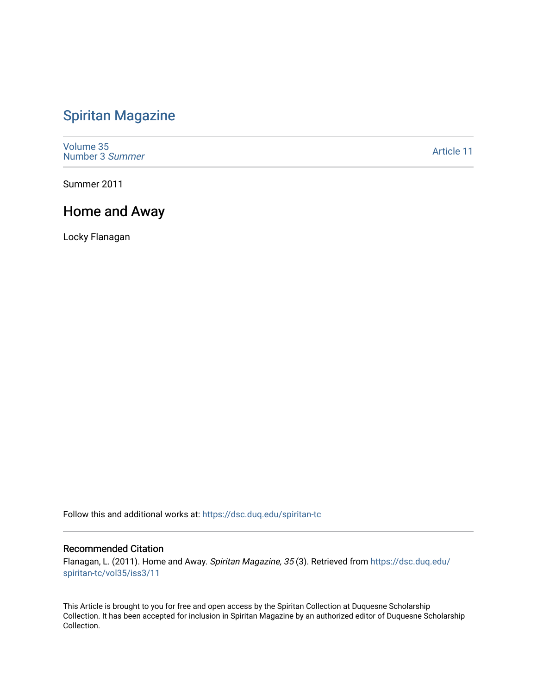### [Spiritan Magazine](https://dsc.duq.edu/spiritan-tc)

[Volume 35](https://dsc.duq.edu/spiritan-tc/vol35) [Number 3](https://dsc.duq.edu/spiritan-tc/vol35/iss3) Summer

[Article 11](https://dsc.duq.edu/spiritan-tc/vol35/iss3/11) 

Summer 2011

#### Home and Away

Locky Flanagan

Follow this and additional works at: [https://dsc.duq.edu/spiritan-tc](https://dsc.duq.edu/spiritan-tc?utm_source=dsc.duq.edu%2Fspiritan-tc%2Fvol35%2Fiss3%2F11&utm_medium=PDF&utm_campaign=PDFCoverPages)

#### Recommended Citation

Flanagan, L. (2011). Home and Away. Spiritan Magazine, 35 (3). Retrieved from [https://dsc.duq.edu/](https://dsc.duq.edu/spiritan-tc/vol35/iss3/11?utm_source=dsc.duq.edu%2Fspiritan-tc%2Fvol35%2Fiss3%2F11&utm_medium=PDF&utm_campaign=PDFCoverPages) [spiritan-tc/vol35/iss3/11](https://dsc.duq.edu/spiritan-tc/vol35/iss3/11?utm_source=dsc.duq.edu%2Fspiritan-tc%2Fvol35%2Fiss3%2F11&utm_medium=PDF&utm_campaign=PDFCoverPages) 

This Article is brought to you for free and open access by the Spiritan Collection at Duquesne Scholarship Collection. It has been accepted for inclusion in Spiritan Magazine by an authorized editor of Duquesne Scholarship Collection.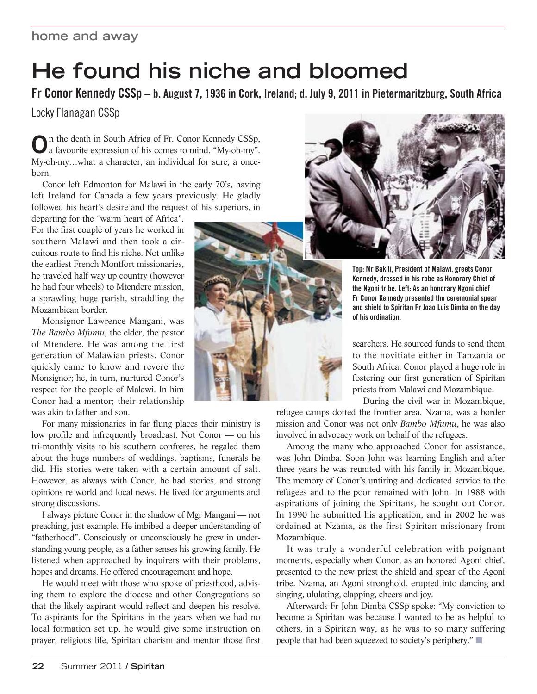# **He found his niche and bloomed**

**Fr Conor Kennedy CSSp – b. August 7, 1936 in Cork, Ireland; d. July 9, 2011 in Pietermaritzburg, South Africa**

Locky Flanagan CSSp

**O**n the death in South Africa of Fr. Conor Kennedy CSSp, a favourite expression of his comes to mind. "My-oh-my". My-oh-my…what a character, an individual for sure, a onceborn.

Conor left Edmonton for Malawi in the early 70's, having left Ireland for Canada a few years previously. He gladly followed his heart's desire and the request of his superiors, in

departing for the "warm heart of Africa". For the first couple of years he worked in southern Malawi and then took a circuitous route to find his niche. Not unlike the earliest French Montfort missionaries, he traveled half way up country (however he had four wheels) to Mtendere mission, a sprawling huge parish, straddling the Mozambican border.

Monsignor Lawrence Mangani, was *The Bambo Mfumu*, the elder, the pastor of Mtendere. He was among the first generation of Malawian priests. Conor quickly came to know and revere the Monsignor; he, in turn, nurtured Conor's respect for the people of Malawi. In him Conor had a mentor; their relationship was akin to father and son.

For many missionaries in far flung places their ministry is low profile and infrequently broadcast. Not Conor — on his tri-monthly visits to his southern confreres, he regaled them about the huge numbers of weddings, baptisms, funerals he did. His stories were taken with a certain amount of salt. However, as always with Conor, he had stories, and strong opinions re world and local news. He lived for arguments and strong discussions.

I always picture Conor in the shadow of Mgr Mangani — not preaching, just example. He imbibed a deeper understanding of "fatherhood". Consciously or unconsciously he grew in understanding young people, as a father senses his growing family. He listened when approached by inquirers with their problems, hopes and dreams. He offered encouragement and hope.

He would meet with those who spoke of priesthood, advising them to explore the diocese and other Congregations so that the likely aspirant would reflect and deepen his resolve. To aspirants for the Spiritans in the years when we had no local formation set up, he would give some instruction on prayer, religious life, Spiritan charism and mentor those first



**Top: Mr Bakili, President of Malawi, greets Conor Kennedy, dressed in his robe as Honorary Chief of the Ngoni tribe. Left: As an honorary Ngoni chief Fr Conor Kennedy presented the ceremonial spear and shield to Spiritan Fr Joao Luis Dimba on the day of his ordination.**

searchers. He sourced funds to send them to the novitiate either in Tanzania or South Africa. Conor played a huge role in fostering our first generation of Spiritan priests from Malawi and Mozambique.

During the civil war in Mozambique,

refugee camps dotted the frontier area. Nzama, was a border mission and Conor was not only *Bambo Mfumu*, he was also involved in advocacy work on behalf of the refugees.

Among the many who approached Conor for assistance, was John Dimba. Soon John was learning English and after three years he was reunited with his family in Mozambique. The memory of Conor's untiring and dedicated service to the refugees and to the poor remained with John. In 1988 with aspirations of joining the Spiritans, he sought out Conor. In 1990 he submitted his application, and in 2002 he was ordained at Nzama, as the first Spiritan missionary from Mozambique.

It was truly a wonderful celebration with poignant moments, especially when Conor, as an honored Agoni chief, presented to the new priest the shield and spear of the Agoni tribe. Nzama, an Agoni stronghold, erupted into dancing and singing, ululating, clapping, cheers and joy.

Afterwards Fr John Dimba CSSp spoke: "My conviction to become a Spiritan was because I wanted to be as helpful to others, in a Spiritan way, as he was to so many suffering people that had been squeezed to society's periphery." $\Box$